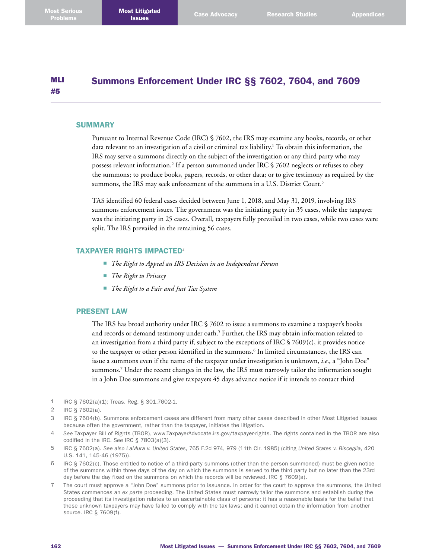#### MLI #5 Summons Enforcement Under IRC §§ 7602, 7604, and 7609

### **SUMMARY**

Pursuant to Internal Revenue Code (IRC) § 7602, the IRS may examine any books, records, or other data relevant to an investigation of a civil or criminal tax liability.<sup>1</sup> To obtain this information, the IRS may serve a summons directly on the subject of the investigation or any third party who may possess relevant information. 2 If a person summoned under IRC § 7602 neglects or refuses to obey the summons; to produce books, papers, records, or other data; or to give testimony as required by the summons, the IRS may seek enforcement of the summons in a U.S. District Court. 3

TAS identified 60 federal cases decided between June 1, 2018, and May 31, 2019, involving IRS summons enforcement issues. The government was the initiating party in 35 cases, while the taxpayer was the initiating party in 25 cases. Overall, taxpayers fully prevailed in two cases, while two cases were split. The IRS prevailed in the remaining 56 cases.

## TAXPAYER RIGHTS IMPACTED<sup>4</sup>

- *The Right to Appeal an IRS Decision in an Independent Forum*
- *The Right to Privacy*
- *The Right to a Fair and Just Tax System*

## PRESENT LAW

The IRS has broad authority under IRC § 7602 to issue a summons to examine a taxpayer's books and records or demand testimony under oath. 5 Further, the IRS may obtain information related to an investigation from a third party if, subject to the exceptions of IRC § 7609(c), it provides notice to the taxpayer or other person identified in the summons. 6 In limited circumstances, the IRS can issue a summons even if the name of the taxpayer under investigation is unknown, *i.e*., a "John Doe" summons. 7 Under the recent changes in the law, the IRS must narrowly tailor the information sought in a John Doe summons and give taxpayers 45 days advance notice if it intends to contact third

<sup>1</sup> IRC § 7602(a)(1); Treas. Reg. § 301.7602-1.

<sup>2</sup> IRC § 7602(a).

<sup>3</sup> IRC § 7604(b). Summons enforcement cases are different from many other cases described in other Most Litigated Issues because often the government, rather than the taxpayer, initiates the litigation.

<sup>4</sup> *See* Taxpayer Bill of Rights (TBOR), [www.TaxpayerAdvocate.irs.gov/taxpayer-rights](http://www.TaxpayerAdvocate.irs.gov/taxpayer-rights). The rights contained in the TBOR are also codified in the IRC. *See* IRC § 7803(a)(3).

<sup>5</sup> IRC § 7602(a). *See also LaMura v. United States*, 765 F.2d 974, 979 (11th Cir. 1985) (citing *United States v. Bisceglia*, 420 U.S. 141, 145-46 (1975)).

<sup>6</sup> IRC § 7602(c). Those entitled to notice of a third-party summons (other than the person summoned) must be given notice of the summons within three days of the day on which the summons is served to the third party but no later than the 23rd day before the day fixed on the summons on which the records will be reviewed. IRC § 7609(a).

<sup>7</sup> The court must approve a "John Doe" summons prior to issuance. In order for the court to approve the summons, the United States commences an *ex parte* proceeding. The United States must narrowly tailor the summons and establish during the proceeding that its investigation relates to an ascertainable class of persons; it has a reasonable basis for the belief that these unknown taxpayers may have failed to comply with the tax laws; and it cannot obtain the information from another source. IRC § 7609(f).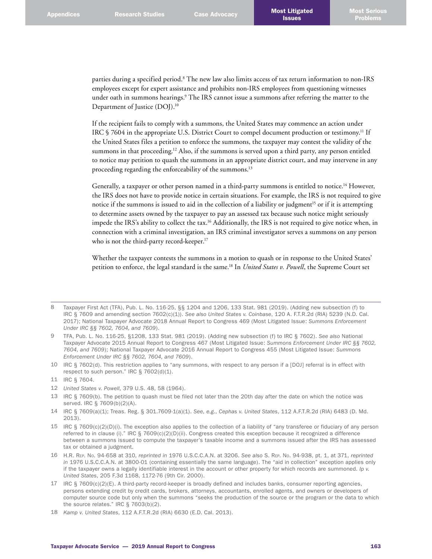parties during a specified period.<sup>8</sup> The new law also limits access of tax return information to non-IRS employees except for expert assistance and prohibits non-IRS employees from questioning witnesses under oath in summons hearings. 9 The IRS cannot issue a summons after referring the matter to the Department of Justice (DOJ). 10

If the recipient fails to comply with a summons, the United States may commence an action under IRC § 7604 in the appropriate U.S. District Court to compel document production or testimony.<sup>11</sup> If the United States files a petition to enforce the summons, the taxpayer may contest the validity of the summons in that proceeding. 12 Also, if the summons is served upon a third party, any person entitled to notice may petition to quash the summons in an appropriate district court, and may intervene in any proceeding regarding the enforceability of the summons. 13

Generally, a taxpayer or other person named in a third-party summons is entitled to notice. 14 However, the IRS does not have to provide notice in certain situations. For example, the IRS is not required to give notice if the summons is issued to aid in the collection of a liability or judgment<sup>15</sup> or if it is attempting to determine assets owned by the taxpayer to pay an assessed tax because such notice might seriously impede the IRS's ability to collect the tax. 16 Additionally, the IRS is not required to give notice when, in connection with a criminal investigation, an IRS criminal investigator serves a summons on any person who is not the third-party record-keeper. 17

Whether the taxpayer contests the summons in a motion to quash or in response to the United States' petition to enforce, the legal standard is the same. 18 In *United States v. Powell*, the Supreme Court set

10 IRC § 7602(d). This restriction applies to "any summons, with respect to any person if a [DOJ] referral is in effect with respect to such person." IRC § 7602(d)(1).

- 12 *United States v. Powell*, 379 U.S. 48, 58 (1964).
- 13 IRC § 7609(b). The petition to quash must be filed not later than the 20th day after the date on which the notice was served. IRC § 7609(b)(2)(A).
- 14 IRC § 7609(a)(1); Treas. Reg. § 301.7609-1(a)(1). *See*, *e.g*., *Cephas v. United States*, 112 A.F.T.R.2d (RIA) 6483 (D. Md. 2013).
- 15 IRC § 7609(c)(2)(D)(i). The exception also applies to the collection of a liability of "any transferee or fiduciary of any person referred to in clause (i)." IRC § 7609(c)(2)(D)(ii). Congress created this exception because it recognized a difference between a summons issued to compute the taxpayer's taxable income and a summons issued after the IRS has assessed tax or obtained a judgment.
- 16 H.R. Rep. No. 94-658 at 310, *reprinted in* 1976 U.S.C.C.A.N. at 3206. *See also* S. Rep. No. 94-938, pt. 1, at 371, *reprinted in* 1976 U.S.C.C.A.N. at 3800-01 (containing essentially the same language). The "aid in collection" exception applies only if the taxpayer owns a legally identifiable interest in the account or other property for which records are summoned. *Ip v. United States*, 205 F.3d 1168, 1172-76 (9th Cir. 2000).
- 17 IRC § 7609(c)(2)(E). A third-party record-keeper is broadly defined and includes banks, consumer reporting agencies, persons extending credit by credit cards, brokers, attorneys, accountants, enrolled agents, and owners or developers of computer source code but only when the summons "seeks the production of the source or the program or the data to which the source relates." IRC § 7603(b)(2).
- 18 *Kamp v. United States*, 112 A.F.T.R.2d (RIA) 6630 (E.D. Cal. 2013).

<sup>8</sup> Taxpayer First Act (TFA), Pub. L. No. 116-25, §§ 1204 and 1206, 133 Stat. 981 (2019). (Adding new subsection (f) to IRC § 7609 and amending section 7602(c)(1)). *See also United States v. Coinbase*, 120 A. F.T.R.2d (RIA) 5239 (N.D. Cal. 2017); National Taxpayer Advocate 2018 Annual Report to Congress 469 (Most Litigated Issue: *Summons Enforcement Under IRC §§ 7602, 7604, and 7609*).

<sup>9</sup> TFA, Pub. L. No. 116-25, §1208, 133 Stat. 981 (2019). (Adding new subsection (f) to IRC § 7602). *See also* National Taxpayer Advocate 2015 Annual Report to Congress 467 (Most Litigated Issue: *Summons Enforcement Under IRC §§ 7602, 7604, and 7609*); National Taxpayer Advocate 2016 Annual Report to Congress 455 (Most Litigated Issue: *Summons Enforcement Under IRC §§ 7602, 7604, and 7609*).

<sup>11</sup> IRC § 7604.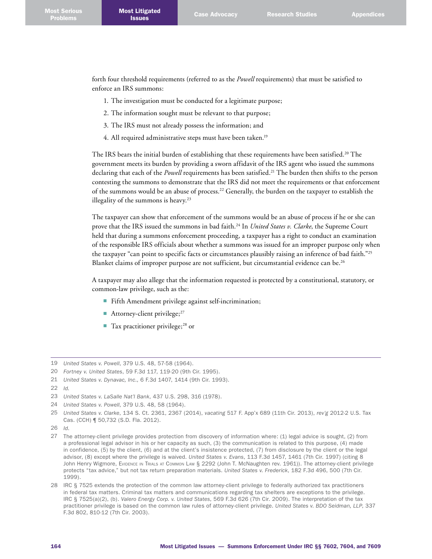forth four threshold requirements (referred to as the *Powell* requirements) that must be satisfied to enforce an IRS summons:

- 1. The investigation must be conducted for a legitimate purpose;
- 2. The information sought must be relevant to that purpose;
- 3. The IRS must not already possess the information; and
- 4. All required administrative steps must have been taken. 19

The IRS bears the initial burden of establishing that these requirements have been satisfied. 20 The government meets its burden by providing a sworn affidavit of the IRS agent who issued the summons declaring that each of the *Powell* requirements has been satisfied. 21 The burden then shifts to the person contesting the summons to demonstrate that the IRS did not meet the requirements or that enforcement of the summons would be an abuse of process. 22 Generally, the burden on the taxpayer to establish the illegality of the summons is heavy.<sup>23</sup>

The taxpayer can show that enforcement of the summons would be an abuse of process if he or she can prove that the IRS issued the summons in bad faith. 24 In *United States v. Clarke*, the Supreme Court held that during a summons enforcement proceeding, a taxpayer has a right to conduct an examination of the responsible IRS officials about whether a summons was issued for an improper purpose only when the taxpayer "can point to specific facts or circumstances plausibly raising an inference of bad faith."25 Blanket claims of improper purpose are not sufficient, but circumstantial evidence can be.<sup>26</sup>

A taxpayer may also allege that the information requested is protected by a constitutional, statutory, or common-law privilege, such as the:

- Fifth Amendment privilege against self-incrimination;
- Attorney-client privilege; $27$
- Tax practitioner privilege;<sup>28</sup> or

<sup>19</sup> *United States v. Powell*, 379 U.S. 48, 57-58 (1964).

<sup>20</sup> *Fortney v. United States*, 59 F.3d 117, 119-20 (9th Cir. 1995).

<sup>21</sup> *United States v. Dynavac, Inc*., 6 F.3d 1407, 1414 (9th Cir. 1993).

<sup>22</sup> *Id.*

<sup>23</sup> *United States v. LaSalle Nat'l Bank*, 437 U.S. 298, 316 (1978).

<sup>24</sup> *United States v. Powell*, 379 U.S. 48, 58 (1964).

<sup>25</sup> *United States v. Clarke*, 134 S. Ct. 2361, 2367 (2014), *vacating* 517 F. App'x 689 (11th Cir. 2013), *rev'g* 2012-2 U.S. Tax Cas. (CCH) ¶ 50,732 (S.D. Fla. 2012).

<sup>26</sup> *Id*.

<sup>27</sup> The attorney-client privilege provides protection from discovery of information where: (1) legal advice is sought, (2) from a professional legal advisor in his or her capacity as such, (3) the communication is related to this purpose, (4) made in confidence, (5) by the client, (6) and at the client's insistence protected, (7) from disclosure by the client or the legal advisor, (8) except where the privilege is waived. *United States v. Evans*, 113 F.3d 1457, 1461 (7th Cir. 1997) (citing 8 John Henry Wigmore, Evidence in Trials at Common Law § 2292 (John T. McNaughten rev. 1961)). The attorney-client privilege protects "tax advice," but not tax return preparation materials. *United States v. Frederick*, 182 F.3d 496, 500 (7th Cir. 1999).

<sup>28</sup> IRC § 7525 extends the protection of the common law attorney-client privilege to federally authorized tax practitioners in federal tax matters. Criminal tax matters and communications regarding tax shelters are exceptions to the privilege. IRC § 7525(a)(2), (b). *Valero Energy Corp. v. United States*, 569 F.3d 626 (7th Cir. 2009). The interpretation of the tax practitioner privilege is based on the common law rules of attorney-client privilege. *United States v. BDO Seidman, LLP*, 337 F.3d 802, 810-12 (7th Cir. 2003).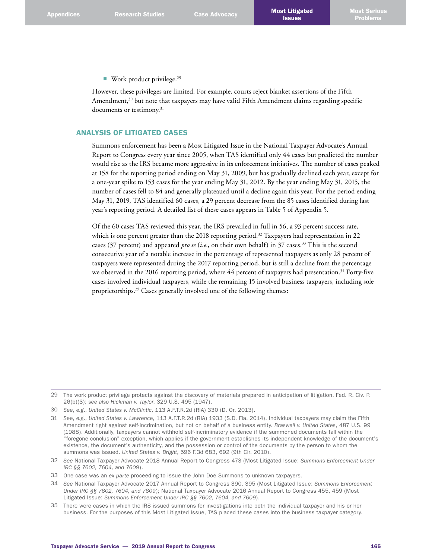■ Work product privilege.<sup>29</sup>

However, these privileges are limited. For example, courts reject blanket assertions of the Fifth Amendment,<sup>30</sup> but note that taxpayers may have valid Fifth Amendment claims regarding specific documents or testimony. 31

# ANALYSIS OF LITIGATED CASES

Summons enforcement has been a Most Litigated Issue in the National Taxpayer Advocate's Annual Report to Congress every year since 2005, when TAS identified only 44 cases but predicted the number would rise as the IRS became more aggressive in its enforcement initiatives. The number of cases peaked at 158 for the reporting period ending on May 31, 2009, but has gradually declined each year, except for a one-year spike to 153 cases for the year ending May 31, 2012. By the year ending May 31, 2015, the number of cases fell to 84 and generally plateaued until a decline again this year. For the period ending May 31, 2019, TAS identified 60 cases, a 29 percent decrease from the 85 cases identified during last year's reporting period. A detailed list of these cases appears in Table 5 of Appendix 5.

Of the 60 cases TAS reviewed this year, the IRS prevailed in full in 56, a 93 percent success rate, which is one percent greater than the 2018 reporting period.<sup>32</sup> Taxpayers had representation in 22 cases (37 percent) and appeared *pro se* (*i.e.*, on their own behalf) in 37 cases. 33 This is the second consecutive year of a notable increase in the percentage of represented taxpayers as only 28 percent of taxpayers were represented during the 2017 reporting period, but is still a decline from the percentage we observed in the 2016 reporting period, where 44 percent of taxpayers had presentation.<sup>34</sup> Forty-five cases involved individual taxpayers, while the remaining 15 involved business taxpayers, including sole proprietorships. 35 Cases generally involved one of the following themes:

<sup>29</sup> The work product privilege protects against the discovery of materials prepared in anticipation of litigation. Fed. R. Civ. P. 26(b)(3); *see also Hickman v. Taylor*, 329 U.S. 495 (1947).

<sup>30</sup> *See*, *e.g*., *United States v. McClintic*, 113 A.F.T.R.2d (RIA) 330 (D. Or. 2013).

<sup>31</sup> *See*, *e.g*., *United States v. Lawrence*, 113 A.F.T.R.2d (RIA) 1933 (S.D. Fla. 2014). Individual taxpayers may claim the Fifth Amendment right against self-incrimination, but not on behalf of a business entity. *Braswell v. United States*, 487 U.S. 99 (1988). Additionally, taxpayers cannot withhold self-incriminatory evidence if the summoned documents fall within the "foregone conclusion" exception, which applies if the government establishes its independent knowledge of the document's existence, the document's authenticity, and the possession or control of the documents by the person to whom the summons was issued. *United States v. Bright*, 596 F.3d 683, 692 (9th Cir. 2010).

<sup>32</sup> *See* National Taxpayer Advocate 2018 Annual Report to Congress 473 (Most Litigated Issue: *Summons Enforcement Under IRC §§ 7602, 7604, and 7609*).

<sup>33</sup> One case was an *ex parte* proceeding to issue the John Doe Summons to unknown taxpayers.

<sup>34</sup> *See* National Taxpayer Advocate 2017 Annual Report to Congress 390, 395 (Most Litigated Issue: *Summons Enforcement Under IRC §§ 7602, 7604, and 7609*); National Taxpayer Advocate 2016 Annual Report to Congress 455, 459 (Most Litigated Issue: *Summons Enforcement Under IRC §§ 7602, 7604, and 7609*).

<sup>35</sup> There were cases in which the IRS issued summons for investigations into both the individual taxpayer and his or her business. For the purposes of this Most Litigated Issue, TAS placed these cases into the business taxpayer category.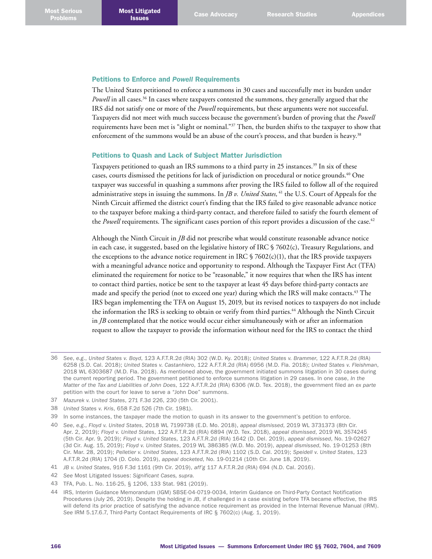### Petitions to Enforce and *Powell* Requirements

The United States petitioned to enforce a summons in 30 cases and successfully met its burden under Powell in all cases.<sup>36</sup> In cases where taxpayers contested the summons, they generally argued that the IRS did not satisfy one or more of the *Powell* requirements, but these arguments were not successful. Taxpayers did not meet with much success because the government's burden of proving that the *Powell*  requirements have been met is "slight or nominal."37 Then, the burden shifts to the taxpayer to show that enforcement of the summons would be an abuse of the court's process, and that burden is heavy. 38

## Petitions to Quash and Lack of Subject Matter Jurisdiction

Taxpayers petitioned to quash an IRS summons to a third party in 25 instances. 39 In six of these cases, courts dismissed the petitions for lack of jurisdiction on procedural or notice grounds. 40 One taxpayer was successful in quashing a summons after proving the IRS failed to follow all of the required administrative steps in issuing the summons. In *JB v. United States*, <sup>41</sup> the U.S. Court of Appeals for the Ninth Circuit affirmed the district court's finding that the IRS failed to give reasonable advance notice to the taxpayer before making a third-party contact, and therefore failed to satisfy the fourth element of the *Powell* requirements. The significant cases portion of this report provides a discussion of the case.<sup>42</sup>

Although the Ninth Circuit in *JB* did not prescribe what would constitute reasonable advance notice in each case, it suggested, based on the legislative history of IRC § 7602(c), Treasury Regulations, and the exceptions to the advance notice requirement in IRC  $\frac{6}{2602(c)(1)}$ , that the IRS provide taxpayers with a meaningful advance notice and opportunity to respond. Although the Taxpayer First Act (TFA) eliminated the requirement for notice to be "reasonable," it now requires that when the IRS has intent to contact third parties, notice be sent to the taxpayer at least 45 days before third-party contacts are made and specify the period (not to exceed one year) during which the IRS will make contacts. 43 The IRS began implementing the TFA on August 15, 2019, but its revised notices to taxpayers do not include the information the IRS is seeking to obtain or verify from third parties. 44 Although the Ninth Circuit in *JB* contemplated that the notice would occur either simultaneously with or after an information request to allow the taxpayer to provide the information without need for the IRS to contact the third

- 37 *Mazurek v. United States*, 271 F.3d 226, 230 (5th Cir. 2001).
- 38 *United States v. Kris*, 658 F.2d 526 (7th Cir. 1981).
- 39 In some instances, the taxpayer made the motion to quash in its answer to the government's petition to enforce.
- 40 *See*, *e.g*., *Floyd v. United States*, 2018 WL 7199738 (E.D. Mo. 2018), *appeal dismissed*, 2019 WL 3731373 (8th Cir. Apr. 2, 2019); *Floyd v. United States*, 122 A.F.T.R.2d (RIA) 6894 (W.D. Tex. 2018), *appeal dismissed*, 2019 WL 3574245 (5th Cir. Apr. 9, 2019); *Floyd v. United States*, 123 A.F.T.R.2d (RIA) 1642 (D. Del. 2019), *appeal dismissed*, No. 19-02627 (3d Cir. Aug. 15, 2019); *Floyd v. United States*, 2019 WL 386385 (W.D. Mo. 2019), *appeal dismissed*, No. 19-01253 (8th Cir. Mar. 28, 2019); *Pelletier v. United States*, 123 A.F.T.R.2d (RIA) 1102 (S.D. Cal. 2019); *Speidell v. United States*, 123 A.F.T.R.2d (RIA) 1704 (D. Colo. 2019), *appeal docketed*, No. 19-01214 (10th Cir. June 18, 2019).
- 41 *JB v. United States*, 916 F.3d 1161 (9th Cir. 2019), *aff'g* 117 A.F.T.R.2d (RIA) 694 (N.D. Cal. 2016).
- 42 *See* Most Litigated Issues: *Significant Cases, supra.*
- 43 TFA, Pub. L. No. 116-25, § 1206, 133 Stat. 981 (2019).
- 44 IRS, Interim Guidance Memorandum (IGM) SBSE-04-0719-0034, Interim Guidance on Third-Party Contact Notification Procedures (July 26, 2019). Despite the holding in *JB*, if challenged in a case existing before TFA became effective, the IRS will defend its prior practice of satisfying the advance notice requirement as provided in the Internal Revenue Manual (IRM). *See* IRM 5.17.6.7, Third-Party Contact Requirements of IRC § 7602(c) (Aug. 1, 2019).

<sup>36</sup> *See*, *e.g*., *United States v. Boyd*, 123 A.F.T.R.2d (RIA) 302 (W.D. Ky. 2018); *United States v. Brammer*, 122 A.F.T.R.2d (RIA) 6258 (S.D. Cal. 2018); *United States v. Castanhiero*, 122 A.F.T.R.2d (RIA) 6956 (M.D. Fla. 2018); *United States v. Fleishman*, 2018 WL 6303687 (M.D. Fla. 2018). As mentioned above, the government initiated summons litigation in 30 cases during the current reporting period. The government petitioned to enforce summons litigation in 29 cases. In one case, *In the Matter of the Tax and Liabilities of John Does*, 122 A.F.T.R.2d (RIA) 6306 (W.D. Tex. 2018), the government filed an *ex parte* petition with the court for leave to serve a "John Doe" summons.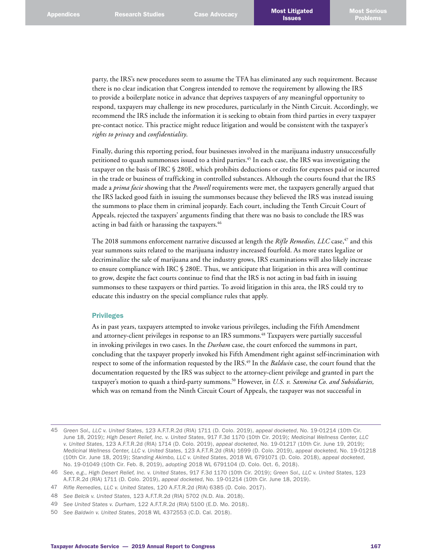party, the IRS's new procedures seem to assume the TFA has eliminated any such requirement. Because there is no clear indication that Congress intended to remove the requirement by allowing the IRS to provide a boilerplate notice in advance that deprives taxpayers of any meaningful opportunity to respond, taxpayers may challenge its new procedures, particularly in the Ninth Circuit. Accordingly, we recommend the IRS include the information it is seeking to obtain from third parties in every taxpayer pre-contact notice. This practice might reduce litigation and would be consistent with the taxpayer's *rights to privacy* and *confidentiality*.

Finally, during this reporting period, four businesses involved in the marijuana industry unsuccessfully petitioned to quash summonses issued to a third parties. 45 In each case, the IRS was investigating the taxpayer on the basis of IRC § 280E, which prohibits deductions or credits for expenses paid or incurred in the trade or business of trafficking in controlled substances. Although the courts found that the IRS made a *prima facie* showing that the *Powell* requirements were met, the taxpayers generally argued that the IRS lacked good faith in issuing the summonses because they believed the IRS was instead issuing the summons to place them in criminal jeopardy. Each court, including the Tenth Circuit Court of Appeals, rejected the taxpayers' arguments finding that there was no basis to conclude the IRS was acting in bad faith or harassing the taxpayers. 46

The 2018 summons enforcement narrative discussed at length the *Rifle Remedies, LLC* case,<sup>47</sup> and this year summons suits related to the marijuana industry increased fourfold. As more states legalize or decriminalize the sale of marijuana and the industry grows, IRS examinations will also likely increase to ensure compliance with IRC § 280E. Thus, we anticipate that litigation in this area will continue to grow, despite the fact courts continue to find that the IRS is not acting in bad faith in issuing summonses to these taxpayers or third parties. To avoid litigation in this area, the IRS could try to educate this industry on the special compliance rules that apply.

#### Privileges

As in past years, taxpayers attempted to invoke various privileges, including the Fifth Amendment and attorney-client privileges in response to an IRS summons. 48 Taxpayers were partially successful in invoking privileges in two cases. In the *Durham* case, the court enforced the summons in part, concluding that the taxpayer properly invoked his Fifth Amendment right against self-incrimination with respect to some of the information requested by the IRS. 49 In the *Baldwin* case, the court found that the documentation requested by the IRS was subject to the attorney-client privilege and granted in part the taxpayer's motion to quash a third-party summons. 50 However, in *U.S. v. Sanmina Co. and Subsidiaries,* which was on remand from the Ninth Circuit Court of Appeals, the taxpayer was not successful in

<sup>45</sup> *Green Sol., LLC v. United States*, 123 A.F.T.R.2d (RIA) 1711 (D. Colo. 2019), *appeal docketed*, No. 19-01214 (10th Cir. June 18, 2019); *High Desert Relief, Inc. v. United States*, 917 F.3d 1170 (10th Cir. 2019); *Medicinal Wellness Center, LLC v. United States*, 123 A.F.T.R.2d (RIA) 1714 (D. Colo. 2019), *appeal docketed*, No. 19-01217 (10th Cir. June 19, 2019); *Medicinal Wellness Center, LLC v. United States*, 123 A.F.T.R.2d (RIA) 1699 (D. Colo. 2019), *appeal docketed*, No. 19-01218 (10th Cir. June 18, 2019); *Standing Akimbo, LLC v. United States*, 2018 WL 6791071 (D. Colo. 2018), *appeal docketed*, No. 19-01049 (10th Cir. Feb. 8, 2019), *adopting* 2018 WL 6791104 (D. Colo. Oct. 6, 2018).

<sup>46</sup> *See*, *e.g*., *High Desert Relief, Inc. v. United States*, 917 F.3d 1170 (10th Cir. 2019); *Green Sol., LLC v. United States*, 123 A.F.T.R.2d (RIA) 1711 (D. Colo. 2019), *appeal docketed*, No. 19-01214 (10th Cir. June 18, 2019).

<sup>47</sup> *Rifle Remedies, LLC v. United States*, 120 A.F.T.R.2d (RIA) 6385 (D. Colo. 2017).

<sup>48</sup> *See Belcik v. United States*, 123 A.F.T.R.2d (RIA) 5702 (N.D. Ala. 2018).

<sup>49</sup> *See United States v. Durham*, 122 A.F.T.R.2d (RIA) 5100 (E.D. Mo. 2018).

<sup>50</sup> *See Baldwin v. United States*, 2018 WL 4372553 (C.D. Cal. 2018).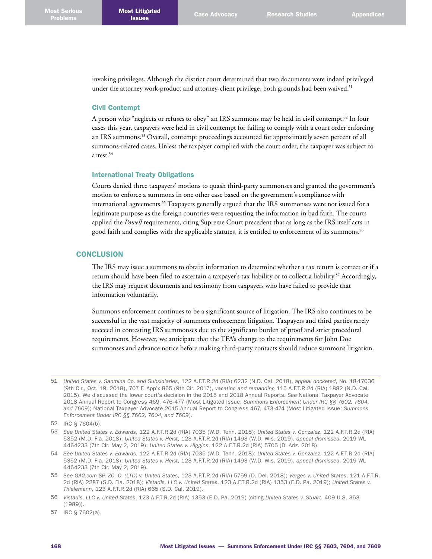invoking privileges. Although the district court determined that two documents were indeed privileged under the attorney work-product and attorney-client privilege, both grounds had been waived.<sup>51</sup>

#### Civil Contempt

A person who "neglects or refuses to obey" an IRS summons may be held in civil contempt. 52 In four cases this year, taxpayers were held in civil contempt for failing to comply with a court order enforcing an IRS summons. 53 Overall, contempt proceedings accounted for approximately seven percent of all summons-related cases. Unless the taxpayer complied with the court order, the taxpayer was subject to arrest. 54

#### International Treaty Obligations

Courts denied three taxpayers' motions to quash third-party summonses and granted the government's motion to enforce a summons in one other case based on the government's compliance with international agreements. 55 Taxpayers generally argued that the IRS summonses were not issued for a legitimate purpose as the foreign countries were requesting the information in bad faith. The courts applied the *Powell* requirements, citing Supreme Court precedent that as long as the IRS itself acts in good faith and complies with the applicable statutes, it is entitled to enforcement of its summons. 56

## **CONCLUSION**

The IRS may issue a summons to obtain information to determine whether a tax return is correct or if a return should have been filed to ascertain a taxpayer's tax liability or to collect a liability.<sup>57</sup> Accordingly, the IRS may request documents and testimony from taxpayers who have failed to provide that information voluntarily.

Summons enforcement continues to be a significant source of litigation. The IRS also continues to be successful in the vast majority of summons enforcement litigation. Taxpayers and third parties rarely succeed in contesting IRS summonses due to the significant burden of proof and strict procedural requirements. However, we anticipate that the TFA's change to the requirements for John Doe summonses and advance notice before making third-party contacts should reduce summons litigation.

<sup>51</sup> *United States v. Sanmina Co. and Subsidiaries*, 122 A.F.T.R.2d (RIA) 6232 (N.D. Cal. 2018), *appeal docketed*, No. 18-17036 (9th Cir., Oct. 19, 2018), 707 F. App'x 865 (9th Cir. 2017), *vacating and remanding* 115 A.F.T.R.2d (RIA) 1882 (N.D. Cal. 2015). We discussed the lower court's decision in the 2015 and 2018 Annual Reports. *See* National Taxpayer Advocate 2018 Annual Report to Congress 469, 476-477 (Most Litigated Issue: *Summons Enforcement Under IRC §§ 7602, 7604, and 7609*); National Taxpayer Advocate 2015 Annual Report to Congress 467, 473-474 (Most Litigated Issue: *Summons Enforcement Under IRC §§ 7602, 7604, and 7609*).

<sup>52</sup> IRC § 7604(b).

<sup>53</sup> *See United States v. Edwards*, 122 A.F.T.R.2d (RIA) 7035 (W.D. Tenn. 2018); *United States v. Gonzalez*, 122 A.F.T.R.2d (RIA) 5352 (M.D. Fla. 2018); *United States v. Heist*, 123 A.F.T.R.2d (RIA) 1493 (W.D. Wis. 2019), *appeal dismissed*, 2019 WL 4464233 (7th Cir. May 2, 2019); *United States v. Higgins*, 122 A.F.T.R.2d (RIA) 5705 (D. Ariz. 2018).

<sup>54</sup> *See United States v. Edwards*, 122 A.F.T.R.2d (RIA) 7035 (W.D. Tenn. 2018); *United States v. Gonzalez*, 122 A.F.T.R.2d (RIA) 5352 (M.D. Fla. 2018); *United States v. Heist*, 123 A.F.T.R.2d (RIA) 1493 (W.D. Wis. 2019), *appeal dismissed*, 2019 WL 4464233 (7th Cir. May 2, 2019).

<sup>55</sup> *See GA2.com SP. ZO. O. (LTD) v. United States*, 123 A.F.T.R.2d (RIA) 5759 (D. Del. 2018); *Verges v. United States*, 121 A.F.T.R. 2d (RIA) 2287 (S.D. Fla. 2018); *Vistadis, LLC v. United States*, 123 A.F.T.R.2d (RIA) 1353 (E.D. Pa. 2019); *United States v. Thielemann*, 123 A.F.T.R.2d (RIA) 665 (S.D. Cal. 2019).

<sup>56</sup> *Vistadis, LLC v. United States*, 123 A.F.T.R.2d (RIA) 1353 (E.D. Pa. 2019) (citing *United States v. Stuart*, 409 U.S. 353 (1989)).

<sup>57</sup> IRC § 7602(a).